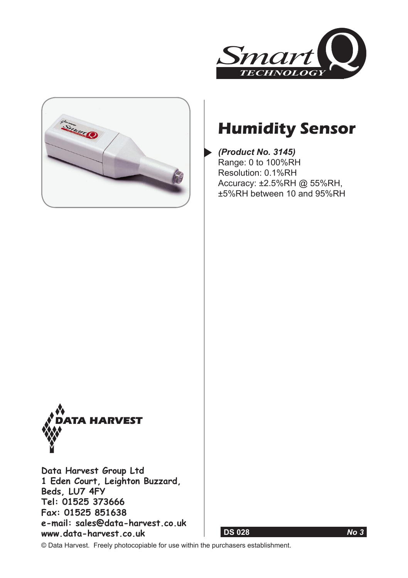



# **Humidity Sensor**

*(Product No. 3145)* Range: 0 to 100%RH Resolution: 0.1%RH Accuracy: ±2.5%RH @ 55%RH, ±5%RH between 10 and 95%RH



**Data Harvest Group Ltd 1 Eden Court, Leighton Buzzard, Beds, LU7 4FY Tel: 01525 373666 Fax: 01525 851638 e-mail: sales@data-harvest.co.uk www.data-harvest.co.uk**

 **DS 028** *No 3*



© Data Harvest. Freely photocopiable for use within the purchasers establishment.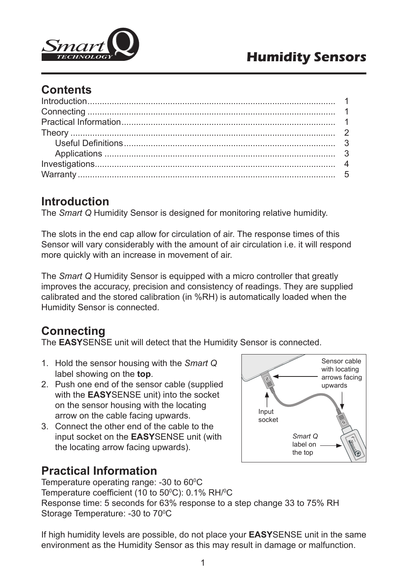

#### **Contents**

## **Introduction**

The *Smart Q* Humidity Sensor is designed for monitoring relative humidity.

The slots in the end cap allow for circulation of air. The response times of this Sensor will vary considerably with the amount of air circulation i.e. it will respond more quickly with an increase in movement of air.

The *Smart Q* Humidity Sensor is equipped with a micro controller that greatly improves the accuracy, precision and consistency of readings. They are supplied calibrated and the stored calibration (in %RH) is automatically loaded when the Humidity Sensor is connected.

## **Connecting**

The **EASY**SENSE unit will detect that the Humidity Sensor is connected.

- 1. Hold the sensor housing with the *Smart Q* label showing on the **top**.
- 2. Push one end of the sensor cable (supplied with the **EASY**SENSE unit) into the socket on the sensor housing with the locating arrow on the cable facing upwards.
- 3. Connect the other end of the cable to the input socket on the **EASY**SENSE unit (with the locating arrow facing upwards).

# **Practical Information**

**Q** *TECHNOLOGY Smart* HARVEST *Smart Q* label on the top Sensor cable with locating arrows facing upwards Input socket

Temperature operating range: -30 to 60 $^{\circ}$ C Temperature coefficient (10 to 50°C): 0.1% RH/°C Response time: 5 seconds for 63% response to a step change 33 to 75% RH Storage Temperature: -30 to 70°C

If high humidity levels are possible, do not place your **EASY**SENSE unit in the same environment as the Humidity Sensor as this may result in damage or malfunction.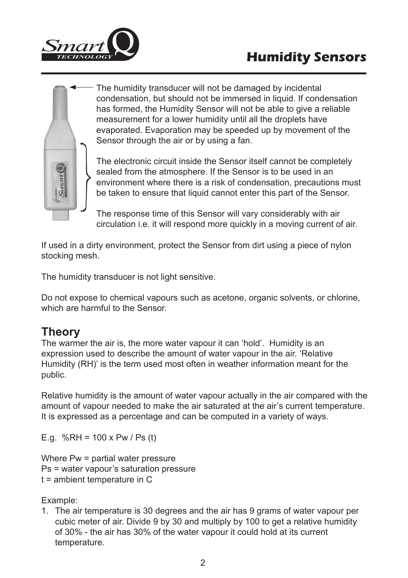



 The humidity transducer will not be damaged by incidental condensation, but should not be immersed in liquid. If condensation has formed, the Humidity Sensor will not be able to give a reliable measurement for a lower humidity until all the droplets have evaporated. Evaporation may be speeded up by movement of the Sensor through the air or by using a fan.

 The electronic circuit inside the Sensor itself cannot be completely sealed from the atmosphere. If the Sensor is to be used in an environment where there is a risk of condensation, precautions must be taken to ensure that liquid cannot enter this part of the Sensor.

 The response time of this Sensor will vary considerably with air circulation i.e. it will respond more quickly in a moving current of air.

If used in a dirty environment, protect the Sensor from dirt using a piece of nylon stocking mesh.

The humidity transducer is not light sensitive.

Do not expose to chemical vapours such as acetone, organic solvents, or chlorine, which are harmful to the Sensor.

#### **Theory**

The warmer the air is, the more water vapour it can 'hold'. Humidity is an expression used to describe the amount of water vapour in the air. 'Relative Humidity (RH)' is the term used most often in weather information meant for the public.

Relative humidity is the amount of water vapour actually in the air compared with the amount of vapour needed to make the air saturated at the air's current temperature. It is expressed as a percentage and can be computed in a variety of ways.

E.g. %RH =  $100 \times P$ w / Ps (t)

Where Pw = partial water pressure Ps = water vapour's saturation pressure t = ambient temperature in C

Example:

1. The air temperature is 30 degrees and the air has 9 grams of water vapour per cubic meter of air. Divide 9 by 30 and multiply by 100 to get a relative humidity of 30% - the air has 30% of the water vapour it could hold at its current temperature.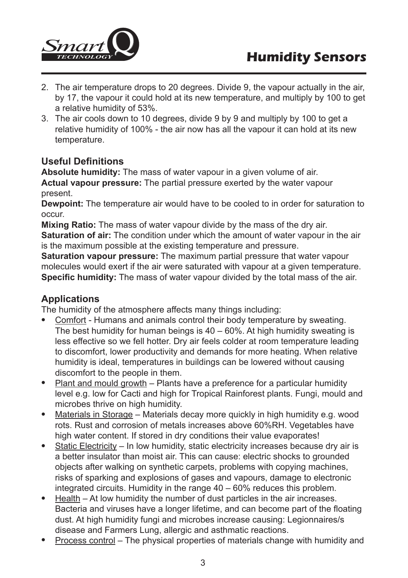

- 2. The air temperature drops to 20 degrees. Divide 9, the vapour actually in the air, by 17, the vapour it could hold at its new temperature, and multiply by 100 to get a relative humidity of 53%.
- 3. The air cools down to 10 degrees, divide 9 by 9 and multiply by 100 to get a relative humidity of 100% - the air now has all the vapour it can hold at its new temperature.

#### **Useful Definitions**

**Absolute humidity:** The mass of water vapour in a given volume of air. **Actual vapour pressure:** The partial pressure exerted by the water vapour present.

**Dewpoint:** The temperature air would have to be cooled to in order for saturation to occur.

**Mixing Ratio:** The mass of water vapour divide by the mass of the dry air. **Saturation of air:** The condition under which the amount of water vapour in the air is the maximum possible at the existing temperature and pressure.

**Saturation vapour pressure:** The maximum partial pressure that water vapour molecules would exert if the air were saturated with vapour at a given temperature. **Specific humidity:** The mass of water vapour divided by the total mass of the air.

#### **Applications**

The humidity of the atmosphere affects many things including:

- Comfort Humans and animals control their body temperature by sweating. The best humidity for human beings is  $40 - 60\%$ . At high humidity sweating is less effective so we fell hotter. Dry air feels colder at room temperature leading to discomfort, lower productivity and demands for more heating. When relative humidity is ideal, temperatures in buildings can be lowered without causing discomfort to the people in them.
- Plant and mould growth Plants have a preference for a particular humidity level e.g. low for Cacti and high for Tropical Rainforest plants. Fungi, mould and microbes thrive on high humidity.
- Materials in Storage Materials decay more quickly in high humidity e.g. wood rots. Rust and corrosion of metals increases above 60%RH. Vegetables have high water content. If stored in dry conditions their value evaporates!
- Static Electricity In low humidity, static electricity increases because dry air is a better insulator than moist air. This can cause: electric shocks to grounded objects after walking on synthetic carpets, problems with copying machines, risks of sparking and explosions of gases and vapours, damage to electronic integrated circuits. Humidity in the range 40 – 60% reduces this problem.
- Health At low humidity the number of dust particles in the air increases. Bacteria and viruses have a longer lifetime, and can become part of the floating dust. At high humidity fungi and microbes increase causing: Legionnaires/s disease and Farmers Lung, allergic and asthmatic reactions.
- Process control The physical properties of materials change with humidity and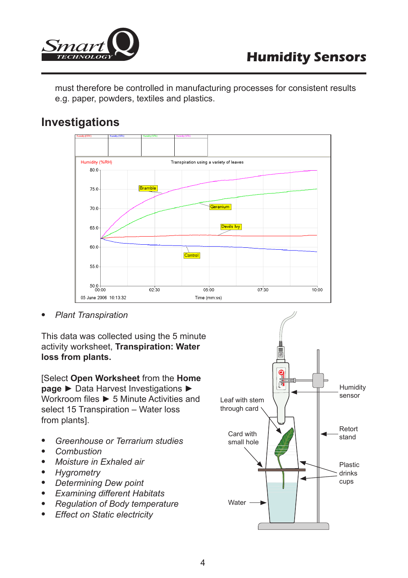

must therefore be controlled in manufacturing processes for consistent results e.g. paper, powders, textiles and plastics.

## **Investigations**



• *Plant Transpiration*

This data was collected using the 5 minute activity worksheet, **Transpiration: Water loss from plants.**

[Select **Open Worksheet** from the **Home page** ► Data Harvest Investigations ► Workroom files ► 5 Minute Activities and select 15 Transpiration – Water loss from plants].

- *Greenhouse or Terrarium studies*
- *Combustion*
- *Moisture in Exhaled air*
- *Hygrometry*
- *Determining Dew point*
- *Examining different Habitats*
- *Regulation of Body temperature*
- *Effect on Static electricity*